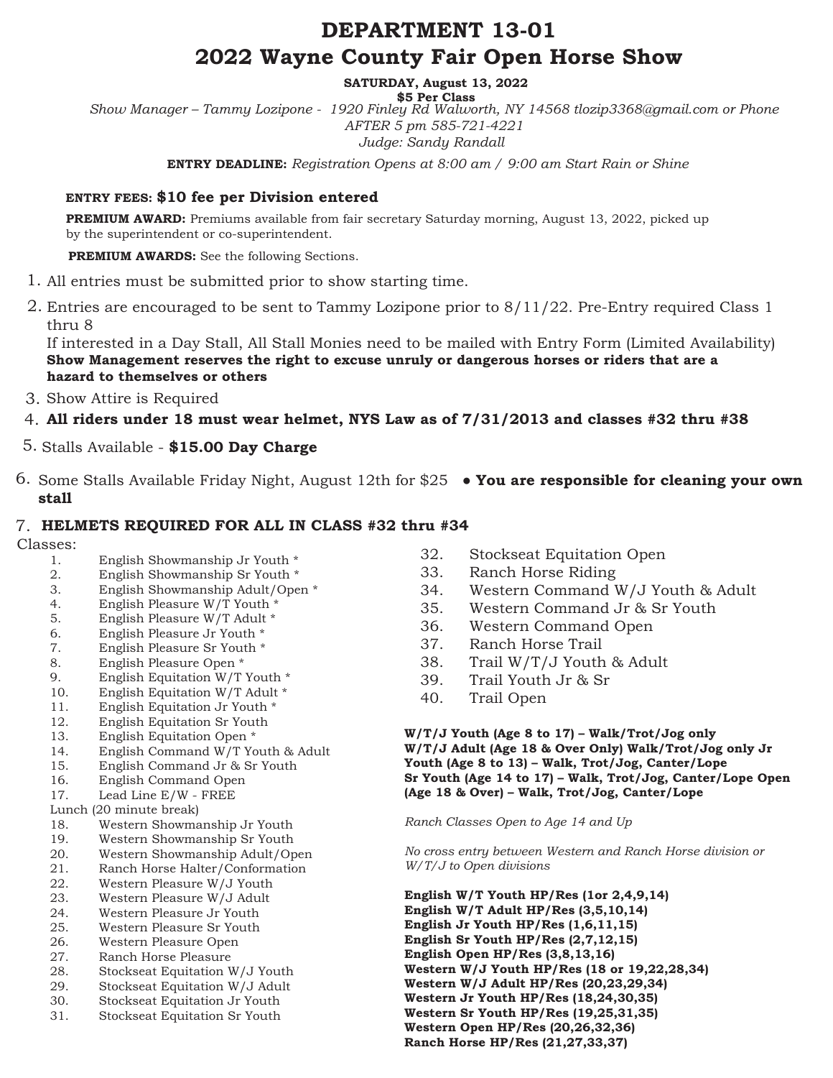# **DEPARTMENT 13-01 2022 Wayne County Fair Open Horse Show**

**SATURDAY, August 13, 2022**

**\$5 Per Class** *Show Manager – Tammy Lozipone - 1920 Finley Rd Walworth, NY 14568 tlozip3368@gmail.com or Phone AFTER 5 pm 585-721-4221 Judge: Sandy Randall*

**ENTRY DEADLINE:** *Registration Opens at 8:00 am / 9:00 am Start Rain or Shine*

### **ENTRY FEES: \$10 fee per Division entered**

**PREMIUM AWARD:** Premiums available from fair secretary Saturday morning, August 13, 2022, picked up by the superintendent or co-superintendent.

**PREMIUM AWARDS:** See the following Sections.

- All entries must be submitted prior to show starting time. 1.
- Entries are encouraged to be sent to Tammy Lozipone prior to 8/11/22. Pre-Entry required Class 1 2. thru 8

If interested in a Day Stall, All Stall Monies need to be mailed with Entry Form (Limited Availability) **Show Management reserves the right to excuse unruly or dangerous horses or riders that are a hazard to themselves or others**

- 3. Show Attire is Required
- **All riders under 18 must wear helmet, NYS Law as of 7/31/2013 and classes #32 thru #38** 4.
- Stalls Available **\$15.00 Day Charge** 5.
- Some Stalls Available Friday Night, August 12th for \$25 **You are responsible for cleaning your own**  6. **stall**

## **HELMETS REQUIRED FOR ALL IN CLASS #32 thru #34** 7.

Classes:

- 1. English Showmanship Jr Youth \*
- 2. English Showmanship Sr Youth \*
- 3. English Showmanship Adult/Open \*
- 4. English Pleasure W/T Youth \*
- 5. English Pleasure W/T Adult \*
- 6. English Pleasure Jr Youth \*
- 7. English Pleasure Sr Youth \*
- 8. English Pleasure Open \*
- 9. English Equitation W/T Youth \*
- 10. English Equitation W/T Adult \*
- 11. English Equitation Jr Youth \*
- 12. English Equitation Sr Youth
- 13. English Equitation Open \*
- 14. English Command W/T Youth & Adult
- 15. English Command Jr & Sr Youth
- 16. English Command Open
- 17. Lead Line E/W FREE
- Lunch (20 minute break)
- 18. Western Showmanship Jr Youth
- 19. Western Showmanship Sr Youth
- 20. Western Showmanship Adult/Open<br>21. Ranch Horse Halter/Conformation
- Ranch Horse Halter/Conformation
- 22. Western Pleasure W/J Youth
- 23. Western Pleasure W/J Adult
- 24. Western Pleasure Jr Youth 25. Western Pleasure Sr Youth
- 
- 26. Western Pleasure Open<br>27. Ranch Horse Pleasure Ranch Horse Pleasure
- 28. Stockseat Equitation W/J Youth
- 29. Stockseat Equitation W/J Adult
- 30. Stockseat Equitation Jr Youth
- 31. Stockseat Equitation Sr Youth
- 32. Stockseat Equitation Open
- 33. Ranch Horse Riding
- 34. Western Command W/J Youth & Adult
- 35. Western Command Jr & Sr Youth
- 36. Western Command Open
- 37. Ranch Horse Trail
- 38. Trail W/T/J Youth & Adult
- 39. Trail Youth Jr & Sr
- 40. Trail Open

**W/T/J Youth (Age 8 to 17) – Walk/Trot/Jog only W/T/J Adult (Age 18 & Over Only) Walk/Trot/Jog only Jr Youth (Age 8 to 13) – Walk, Trot/Jog, Canter/Lope Sr Youth (Age 14 to 17) – Walk, Trot/Jog, Canter/Lope Open (Age 18 & Over) – Walk, Trot/Jog, Canter/Lope** 

*Ranch Classes Open to Age 14 and Up* 

*No cross entry between Western and Ranch Horse division or W/T/J to Open divisions* 

**English W/T Youth HP/Res (1or 2,4,9,14) English W/T Adult HP/Res (3,5,10,14) English Jr Youth HP/Res (1,6,11,15) English Sr Youth HP/Res (2,7,12,15) English Open HP/Res (3,8,13,16) Western W/J Youth HP/Res (18 or 19,22,28,34) Western W/J Adult HP/Res (20,23,29,34) Western Jr Youth HP/Res (18,24,30,35) Western Sr Youth HP/Res (19,25,31,35) Western Open HP/Res (20,26,32,36) Ranch Horse HP/Res (21,27,33,37)**